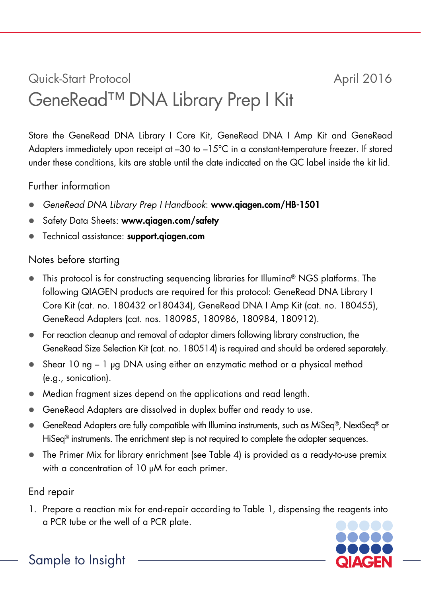# Quick-Start Protocol April 2016 GeneRead™ DNA Library Prep I Kit

Store the GeneRead DNA Library I Core Kit, GeneRead DNA I Amp Kit and GeneRead Adapters immediately upon receipt at  $-30$  to  $-15^{\circ}$ C in a constant-temperature freezer. If stored under these conditions, kits are stable until the date indicated on the QC label inside the kit lid.

## Further information

- *GeneRead DNA Library Prep I Handbook*: www.qiagen.com/HB-1501
- Safety Data Sheets: www.qiagen.com/safety
- Technical assistance: support.qiagen.com

# Notes before starting

- This protocol is for constructing sequencing libraries for Illumina<sup>®</sup> NGS platforms. The following QIAGEN products are required for this protocol: GeneRead DNA Library I Core Kit (cat. no. 180432 or180434), GeneRead DNA I Amp Kit (cat. no. 180455), GeneRead Adapters (cat. nos. 180985, 180986, 180984, 180912).
- For reaction cleanup and removal of adaptor dimers following library construction, the GeneRead Size Selection Kit (cat. no. 180514) is required and should be ordered separately.
- Shear 10 ng 1 µg DNA using either an enzymatic method or a physical method (e.g., sonication).
- Median fragment sizes depend on the applications and read length.
- GeneRead Adapters are dissolved in duplex buffer and ready to use.
- GeneRead Adapters are fully compatible with Illumina instruments, such as MiSeq®, NextSeq® or HiSeq<sup>®</sup> instruments. The enrichment step is not required to complete the adapter sequences.
- The Primer Mix for library enrichment (see Table 4) is provided as a ready-to-use premix with a concentration of 10  $\mu$ M for each primer.

# End repair

1. Prepare a reaction mix for end-repair according to Table 1, dispensing the reagents into a PCR tube or the well of a PCR plate.



Sample to Insight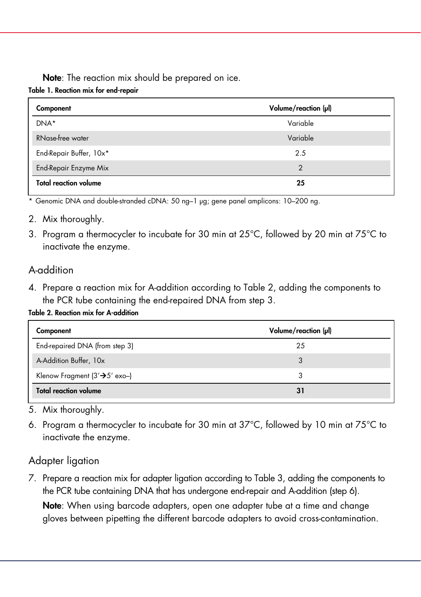Note: The reaction mix should be prepared on ice. Table 1. Reaction mix for end-repair

| Component                    | Volume/reaction (µl) |
|------------------------------|----------------------|
| DNA*                         | Variable             |
| RNase-free water             | Variable             |
| End-Repair Buffer, 10x*      | 2.5                  |
| End-Repair Enzyme Mix        | 2                    |
| <b>Total reaction volume</b> | 25                   |

\* Genomic DNA and double-stranded cDNA: 50 ng–1 µg; gene panel amplicons: 10–200 ng.

- 2. Mix thoroughly.
- 3. Program a thermocycler to incubate for 30 min at 25°C, followed by 20 min at 75°C to inactivate the enzyme.

## A-addition

4. Prepare a reaction mix for A-addition according to Table 2, adding the components to the PCR tube containing the end-repaired DNA from step 3.

Table 2. Reaction mix for A-addition

| Component                                   | Volume/reaction (µl) |
|---------------------------------------------|----------------------|
| End-repaired DNA (from step 3)              | 25                   |
| A-Addition Buffer, 10x                      | 3                    |
| Klenow Fragment ( $3' \rightarrow 5'$ exo-) | 3                    |
| <b>Total reaction volume</b>                | 31                   |

- 5. Mix thoroughly.
- 6. Program a thermocycler to incubate for 30 min at 37°C, followed by 10 min at 75°C to inactivate the enzyme.

#### Adapter ligation

7. Prepare a reaction mix for adapter ligation according to Table 3, adding the components to the PCR tube containing DNA that has undergone end-repair and A-addition (step 6).

Note: When using barcode adapters, open one adapter tube at a time and change gloves between pipetting the different barcode adapters to avoid cross-contamination.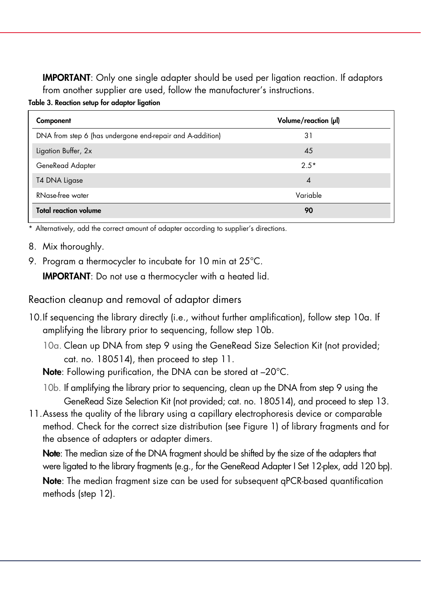IMPORTANT: Only one single adapter should be used per ligation reaction. If adaptors from another supplier are used, follow the manufacturer's instructions.

Table 3. Reaction setup for adaptor ligation

| Component                                                 | Volume/reaction (µl)       |
|-----------------------------------------------------------|----------------------------|
| DNA from step 6 (has undergone end-repair and A-addition) | 31                         |
| Ligation Buffer, 2x                                       | 45                         |
| GeneRead Adapter                                          | $2.5*$                     |
| T4 DNA Ligase                                             | $\boldsymbol{\mathcal{A}}$ |
| RNase-free water                                          | Variable                   |
| <b>Total reaction volume</b>                              | 90                         |

\* Alternatively, add the correct amount of adapter according to supplier's directions.

- 8. Mix thoroughly.
- 9. Program a thermocycler to incubate for 10 min at 25°C.

IMPORTANT: Do not use a thermocycler with a heated lid.

Reaction cleanup and removal of adaptor dimers

- 10.If sequencing the library directly (i.e., without further amplification), follow step 10a. If amplifying the library prior to sequencing, follow step 10b.
	- 10a. Clean up DNA from step 9 using the GeneRead Size Selection Kit (not provided; cat. no. 180514), then proceed to step 11.

Note: Following purification, the DNA can be stored at -20°C.

- 10b. If amplifying the library prior to sequencing, clean up the DNA from step 9 using the GeneRead Size Selection Kit (not provided; cat. no. 180514), and proceed to step 13.
- 11.Assess the quality of the library using a capillary electrophoresis device or comparable method. Check for the correct size distribution (see Figure 1) of library fragments and for the absence of adapters or adapter dimers.

Note: The median size of the DNA fragment should be shifted by the size of the adapters that were ligated to the library fragments (e.g., for the GeneRead Adapter I Set 12-plex, add 120 bp).

Note: The median fragment size can be used for subsequent qPCR-based quantification methods (step 12).